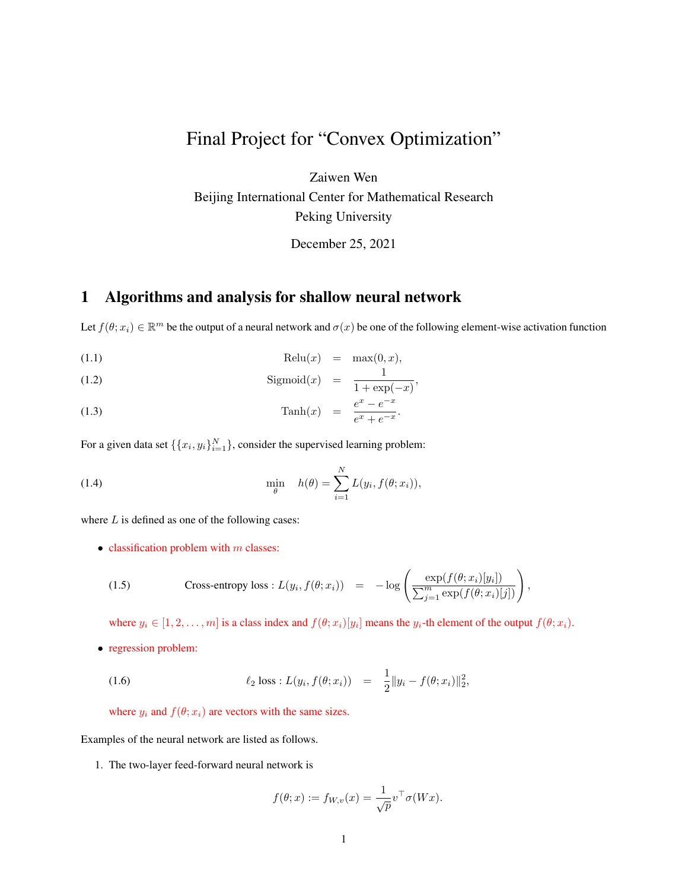## Final Project for "Convex Optimization"

Zaiwen Wen Beijing International Center for Mathematical Research Peking University

<span id="page-0-0"></span>December 25, 2021

## 1 Algorithms and analysis for shallow neural network

Let  $f(\theta; x_i) \in \mathbb{R}^m$  be the output of a neural network and  $\sigma(x)$  be one of the following element-wise activation function

(1.1)  $\text{Relu}(x) = \max(0, x),$ 

(1.2) 
$$
\text{Sigmoid}(x) = \frac{1}{1 + \exp(-x)},
$$

(1.3) 
$$
\text{Tanh}(x) = \frac{e^x - e^{-x}}{e^x + e^{-x}}.
$$

For a given data set  $\{\{x_i, y_i\}_{i=1}^N\}$ , consider the supervised learning problem:

(1.4) 
$$
\min_{\theta} \quad h(\theta) = \sum_{i=1}^{N} L(y_i, f(\theta; x_i)),
$$

where  $L$  is defined as one of the following cases:

 $\bullet$  classification problem with m classes:

(1.5) Cross-entropy loss: 
$$
L(y_i, f(\theta; x_i)) = -\log \left( \frac{\exp(f(\theta; x_i)[y_i])}{\sum_{j=1}^m \exp(f(\theta; x_i)[j])} \right)
$$
,

where  $y_i \in [1, 2, \ldots, m]$  is a class index and  $f(\theta; x_i)[y_i]$  means the  $y_i$ -th element of the output  $f(\theta; x_i)$ .

• regression problem:

(1.6) 
$$
\ell_2 \text{ loss}: L(y_i, f(\theta; x_i)) = \frac{1}{2} ||y_i - f(\theta; x_i)||_2^2,
$$

where  $y_i$  and  $f(\theta; x_i)$  are vectors with the same sizes.

Examples of the neural network are listed as follows.

1. The two-layer feed-forward neural network is

$$
f(\theta; x) := f_{W,v}(x) = \frac{1}{\sqrt{p}} v^\top \sigma(Wx).
$$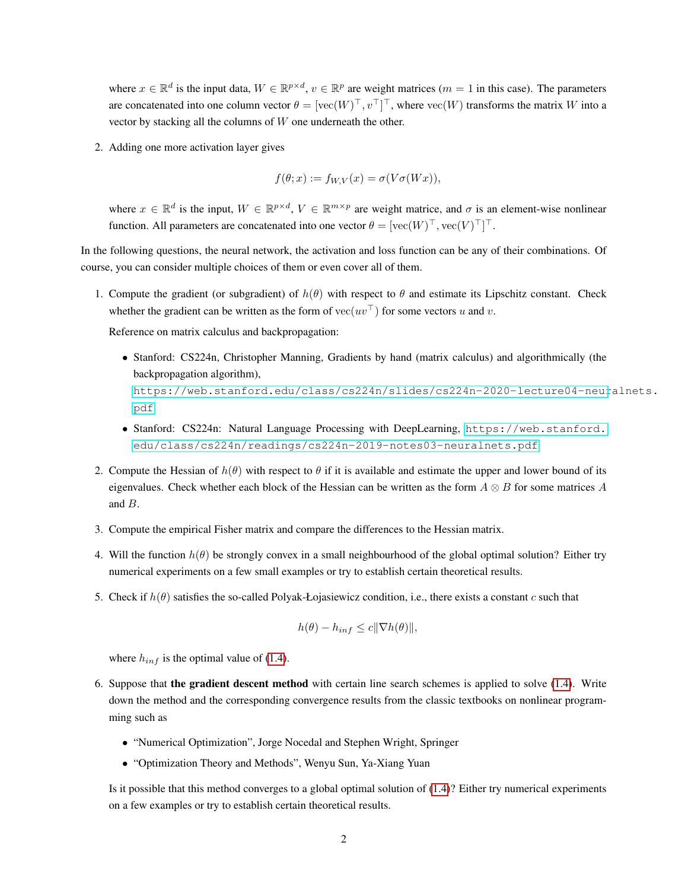where  $x \in \mathbb{R}^d$  is the input data,  $W \in \mathbb{R}^{p \times d}$ ,  $v \in \mathbb{R}^p$  are weight matrices  $(m = 1$  in this case). The parameters are concatenated into one column vector  $\theta = [vec(W)^{\top}, v^{\top}]^{\top}$ , where  $vec(W)$  transforms the matrix W into a vector by stacking all the columns of W one underneath the other.

2. Adding one more activation layer gives

$$
f(\theta; x) := f_{W,V}(x) = \sigma(V\sigma(Wx)),
$$

where  $x \in \mathbb{R}^d$  is the input,  $W \in \mathbb{R}^{p \times d}$ ,  $V \in \mathbb{R}^{m \times p}$  are weight matrice, and  $\sigma$  is an element-wise nonlinear function. All parameters are concatenated into one vector  $\theta = [vec(W)^{\top},vec(V)^{\top}]^{\top}$ .

In the following questions, the neural network, the activation and loss function can be any of their combinations. Of course, you can consider multiple choices of them or even cover all of them.

1. Compute the gradient (or subgradient) of  $h(\theta)$  with respect to  $\theta$  and estimate its Lipschitz constant. Check whether the gradient can be written as the form of  $\text{vec}(uv^{\top})$  for some vectors u and v.

Reference on matrix calculus and backpropagation:

• Stanford: CS224n, Christopher Manning, Gradients by hand (matrix calculus) and algorithmically (the backpropagation algorithm),

```
https://web.stanford.edu/class/cs224n/slides/cs224n-2020-lecture04-neuralnets.
pdf
```
- Stanford: CS224n: Natural Language Processing with DeepLearning, [https://web.stanford.](https://web.stanford.edu/class/cs224n/readings/cs224n-2019-notes03-neuralnets.pdf) [edu/class/cs224n/readings/cs224n-2019-notes03-neuralnets.pdf](https://web.stanford.edu/class/cs224n/readings/cs224n-2019-notes03-neuralnets.pdf)
- 2. Compute the Hessian of  $h(\theta)$  with respect to  $\theta$  if it is available and estimate the upper and lower bound of its eigenvalues. Check whether each block of the Hessian can be written as the form  $A \otimes B$  for some matrices  $A$ and B.
- 3. Compute the empirical Fisher matrix and compare the differences to the Hessian matrix.
- 4. Will the function  $h(\theta)$  be strongly convex in a small neighbourhood of the global optimal solution? Either try numerical experiments on a few small examples or try to establish certain theoretical results.
- 5. Check if  $h(\theta)$  satisfies the so-called Polyak-Łojasiewicz condition, i.e., there exists a constant c such that

$$
h(\theta) - h_{inf} \le c \|\nabla h(\theta)\|,
$$

where  $h_{inf}$  is the optimal value of [\(1.4\)](#page-0-0).

- 6. Suppose that the gradient descent method with certain line search schemes is applied to solve [\(1.4\)](#page-0-0). Write down the method and the corresponding convergence results from the classic textbooks on nonlinear programming such as
	- "Numerical Optimization", Jorge Nocedal and Stephen Wright, Springer
	- "Optimization Theory and Methods", Wenyu Sun, Ya-Xiang Yuan

Is it possible that this method converges to a global optimal solution of [\(1.4\)](#page-0-0)? Either try numerical experiments on a few examples or try to establish certain theoretical results.